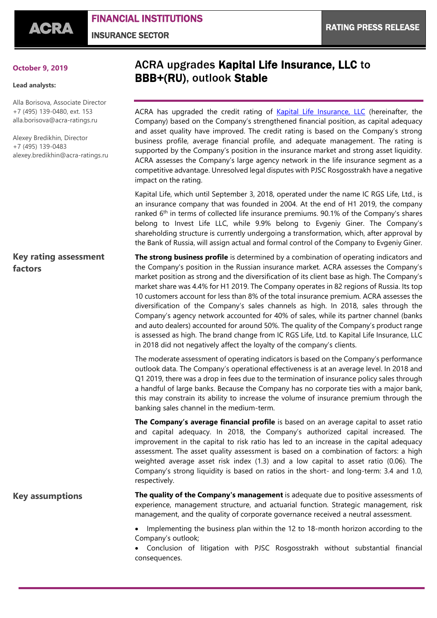FINANCIAL INSTITUTIONS INSURANCE SECTOR

## **October 9, 2019**

## **Lead analysts:**

Alla Borisova, Associate Director +7 (495) 139-0480, ext. 153 [alla.borisova@acra-ratings.ru](mailto:alla.borisova@acra-ratings.ru)

Alexey Bredikhin, Director +7 (495) 139-0483 [alexey.bredikhin@acra-ratings.ru](mailto:alexey.bredikhin@acra-ratings.ru)

## **Key rating assessment factors**

ACRA upgrades Kapital Life Insurance, LLC to BBB+(RU), outlook Stable

ACRA has upgraded the credit rating of [Kapital Life Insurance, LLC](https://www.acra-ratings.com/ratings/issuers/183) (hereinafter, the Company) based on the Company's strengthened financial position, as capital adequacy and asset quality have improved. The credit rating is based on the Company's strong business profile, average financial profile, and adequate management. The rating is supported by the Company's position in the insurance market and strong asset liquidity. ACRA assesses the Company's large agency network in the life insurance segment as a competitive advantage. Unresolved legal disputes with PJSC Rosgosstrakh have a negative impact on the rating.

Kapital Life, which until September 3, 2018, operated under the name IC RGS Life, Ltd., is an insurance company that was founded in 2004. At the end of H1 2019, the company ranked  $6<sup>th</sup>$  in terms of collected life insurance premiums. 90.1% of the Company's shares belong to Invest Life LLC, while 9.9% belong to Evgeniy Giner. The Company's shareholding structure is currently undergoing a transformation, which, after approval by the Bank of Russia, will assign actual and formal control of the Company to Evgeniy Giner.

**The strong business profile** is determined by a combination of operating indicators and the Company's position in the Russian insurance market. ACRA assesses the Company's market position as strong and the diversification of its client base as high. The Company's market share was 4.4% for H1 2019. The Company operates in 82 regions of Russia. Its top 10 customers account for less than 8% of the total insurance premium. ACRA assesses the diversification of the Company's sales channels as high. In 2018, sales through the Company's agency network accounted for 40% of sales, while its partner channel (banks and auto dealers) accounted for around 50%. The quality of the Company's product range is assessed as high. The brand change from IC RGS Life, Ltd. to Kapital Life Insurance, LLC in 2018 did not negatively affect the loyalty of the company's clients.

The moderate assessment of operating indicators is based on the Company's performance outlook data. The Company's operational effectiveness is at an average level. In 2018 and Q1 2019, there was a drop in fees due to the termination of insurance policy sales through a handful of large banks. Because the Company has no corporate ties with a major bank, this may constrain its ability to increase the volume of insurance premium through the banking sales channel in the medium-term.

**The Company's average financial profile** is based on an average capital to asset ratio and capital adequacy. In 2018, the Company's authorized capital increased. The improvement in the capital to risk ratio has led to an increase in the capital adequacy assessment. The asset quality assessment is based on a combination of factors: a high weighted average asset risk index (1.3) and a low capital to asset ratio (0.06). The Company's strong liquidity is based on ratios in the short- and long-term: 3.4 and 1.0, respectively.

## **The quality of the Company's management** is adequate due to positive assessments of experience, management structure, and actuarial function. Strategic management, risk management, and the quality of corporate governance received a neutral assessment. **Key assumptions**

 Implementing the business plan within the 12 to 18-month horizon according to the Company's outlook;

 Conclusion of litigation with PJSC Rosgosstrakh without substantial financial consequences.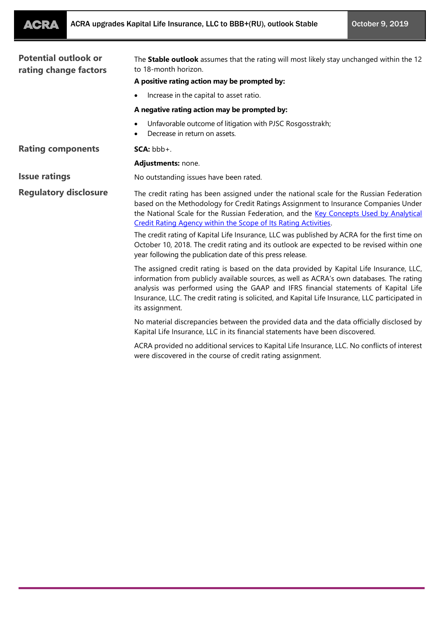| <b>Potential outlook or</b><br>rating change factors | The Stable outlook assumes that the rating will most likely stay unchanged within the 12<br>to 18-month horizon.                                                                                                                                                                                                                                                                                  |
|------------------------------------------------------|---------------------------------------------------------------------------------------------------------------------------------------------------------------------------------------------------------------------------------------------------------------------------------------------------------------------------------------------------------------------------------------------------|
|                                                      | A positive rating action may be prompted by:                                                                                                                                                                                                                                                                                                                                                      |
|                                                      | Increase in the capital to asset ratio.                                                                                                                                                                                                                                                                                                                                                           |
|                                                      | A negative rating action may be prompted by:                                                                                                                                                                                                                                                                                                                                                      |
|                                                      | Unfavorable outcome of litigation with PJSC Rosgosstrakh;<br>Decrease in return on assets.                                                                                                                                                                                                                                                                                                        |
| <b>Rating components</b>                             | $SCA: bbb+$ .                                                                                                                                                                                                                                                                                                                                                                                     |
|                                                      | Adjustments: none.                                                                                                                                                                                                                                                                                                                                                                                |
| <b>Issue ratings</b>                                 | No outstanding issues have been rated.                                                                                                                                                                                                                                                                                                                                                            |
| <b>Regulatory disclosure</b>                         | The credit rating has been assigned under the national scale for the Russian Federation<br>based on the Methodology for Credit Ratings Assignment to Insurance Companies Under<br>the National Scale for the Russian Federation, and the Key Concepts Used by Analytical<br>Credit Rating Agency within the Scope of Its Rating Activities.                                                       |
|                                                      | The credit rating of Kapital Life Insurance, LLC was published by ACRA for the first time on<br>October 10, 2018. The credit rating and its outlook are expected to be revised within one<br>year following the publication date of this press release.                                                                                                                                           |
|                                                      | The assigned credit rating is based on the data provided by Kapital Life Insurance, LLC,<br>information from publicly available sources, as well as ACRA's own databases. The rating<br>analysis was performed using the GAAP and IFRS financial statements of Kapital Life<br>Insurance, LLC. The credit rating is solicited, and Kapital Life Insurance, LLC participated in<br>its assignment. |
|                                                      | No material discrepancies between the provided data and the data officially disclosed by<br>Kapital Life Insurance, LLC in its financial statements have been discovered.                                                                                                                                                                                                                         |
|                                                      | ACRA provided no additional services to Kapital Life Insurance, LLC. No conflicts of interest<br>were discovered in the course of credit rating assignment.                                                                                                                                                                                                                                       |